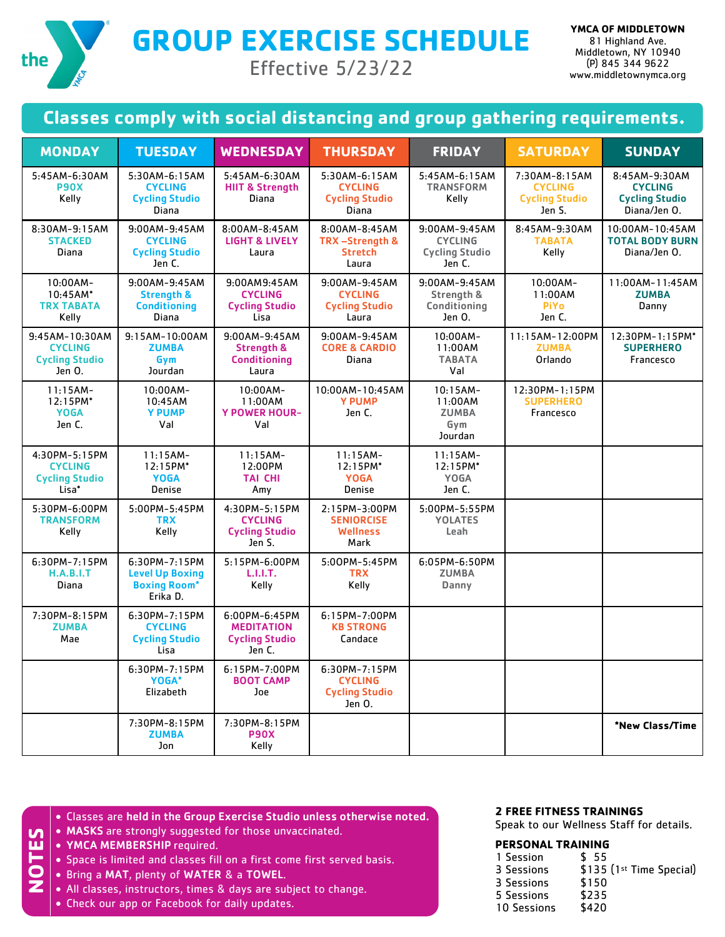

**GROUP EXERCISE SCHEDULE**

Effective 5/23/22

## **Classes comply with social distancing and group gathering requirements.**

| <b>MONDAY</b>                                                       | <b>TUESDAY</b>                                                             | <b>WEDNESDAY</b>                                                       | <b>THURSDAY</b>                                                    | <b>FRIDAY</b>                                                      | <b>SATURDAY</b>                                                    | <b>SUNDAY</b>                                                            |
|---------------------------------------------------------------------|----------------------------------------------------------------------------|------------------------------------------------------------------------|--------------------------------------------------------------------|--------------------------------------------------------------------|--------------------------------------------------------------------|--------------------------------------------------------------------------|
| 5:45AM-6:30AM<br><b>P90X</b><br>Kelly                               | 5:30AM-6:15AM<br><b>CYCLING</b><br><b>Cycling Studio</b><br>Diana          | 5:45AM-6:30AM<br><b>HIIT &amp; Strength</b><br><b>Diana</b>            | 5:30AM-6:15AM<br><b>CYCLING</b><br><b>Cycling Studio</b><br>Diana  | 5:45AM-6:15AM<br><b>TRANSFORM</b><br>Kelly                         | 7:30AM-8:15AM<br><b>CYCLING</b><br><b>Cycling Studio</b><br>Jen S. | 8:45AM-9:30AM<br><b>CYCLING</b><br><b>Cycling Studio</b><br>Diana/Jen O. |
| 8:30AM-9:15AM<br><b>STACKED</b><br>Diana                            | 9:00AM-9:45AM<br><b>CYCLING</b><br><b>Cycling Studio</b><br>Jen C.         | 8:00AM-8:45AM<br><b>LIGHT &amp; LIVELY</b><br>Laura                    | 8:00AM-8:45AM<br>TRX-Strength &<br><b>Stretch</b><br>Laura         | 9:00AM-9:45AM<br><b>CYCLING</b><br><b>Cycling Studio</b><br>Jen C. | 8:45AM-9:30AM<br><b>TABATA</b><br>Kelly                            | 10:00AM-10:45AM<br><b>TOTAL BODY BURN</b><br>Diana/Jen O.                |
| 10:00AM-<br>$10:45AM*$<br><b>TRX TABATA</b><br>Kelly                | 9:00AM-9:45AM<br><b>Strength &amp;</b><br><b>Conditioning</b><br>Diana     | 9:00AM9:45AM<br><b>CYCLING</b><br><b>Cycling Studio</b><br>lisa        | 9:00AM-9:45AM<br><b>CYCLING</b><br><b>Cycling Studio</b><br>Laura  | 9:00AM-9:45AM<br>Strength &<br><b>Conditioning</b><br>Jen O.       | 10:00AM-<br>11:00AM<br><b>PiYo</b><br>Jen C.                       | 11:00AM-11:45AM<br><b>ZUMBA</b><br>Danny                                 |
| 9:45AM-10:30AM<br><b>CYCLING</b><br><b>Cycling Studio</b><br>Jen 0. | 9:15AM-10:00AM<br><b>ZUMBA</b><br>Gym<br>Jourdan                           | 9:00AM-9:45AM<br><b>Strength &amp;</b><br><b>Conditioning</b><br>Laura | 9:00AM-9:45AM<br><b>CORE &amp; CARDIO</b><br>Diana                 | 10:00AM-<br>11:00AM<br><b>TABATA</b><br>Val                        | 11:15AM-12:00PM<br><b>ZUMBA</b><br>Orlando                         | 12:30PM-1:15PM*<br><b>SUPERHERO</b><br>Francesco                         |
| $11:15AM-$<br>12:15PM*<br><b>YOGA</b><br>Jen C.                     | 10:00AM-<br>10:45AM<br><b>Y PUMP</b><br>Val                                | 10:00AM-<br>11:00AM<br><b>Y POWER HOUR-</b><br>Val                     | 10:00AM-10:45AM<br><b>Y PUMP</b><br>Jen C.                         | $10:15AM-$<br>11:00AM<br><b>ZUMBA</b><br>Gym<br>Jourdan            | 12:30PM-1:15PM<br><b>SUPERHERO</b><br>Francesco                    |                                                                          |
| 4:30PM-5:15PM<br><b>CYCLING</b><br><b>Cycling Studio</b><br>Lisa*   | $11:15AM-$<br>12:15PM*<br><b>YOGA</b><br>Denise                            | $11:15AM -$<br>12:00PM<br><b>TAI CHI</b><br>Amy                        | $11:15AM-$<br>12:15PM*<br><b>YOGA</b><br>Denise                    | $11:15AM-$<br>12:15PM*<br><b>YOGA</b><br>Jen C.                    |                                                                    |                                                                          |
| 5:30PM-6:00PM<br><b>TRANSFORM</b><br>Kelly                          | 5:00PM-5:45PM<br><b>TRX</b><br>Kelly                                       | 4:30PM-5:15PM<br><b>CYCLING</b><br><b>Cycling Studio</b><br>Jen S.     | 2:15PM-3:00PM<br><b>SENIORCISE</b><br><b>Wellness</b><br>Mark      | $5:00PM - 5:55PM$<br><b>YOLATES</b><br>Leah                        |                                                                    |                                                                          |
| 6:30PM-7:15PM<br>H.A.B.I.T<br>Diana                                 | 6:30PM-7:15PM<br><b>Level Up Boxing</b><br><b>Boxing Room*</b><br>Erika D. | 5:15PM-6:00PM<br>L.I.I.T.<br>Kelly                                     | 5:00PM-5:45PM<br><b>TRX</b><br>Kelly                               | 6:05PM-6:50PM<br><b>ZUMBA</b><br>Danny                             |                                                                    |                                                                          |
| 7:30PM-8:15PM<br><b>ZUMBA</b><br>Mae                                | 6:30PM-7:15PM<br><b>CYCLING</b><br><b>Cycling Studio</b><br>Lisa           | 6:00PM-6:45PM<br><b>MEDITATION</b><br><b>Cycling Studio</b><br>Jen C.  | 6:15PM-7:00PM<br><b>KB STRONG</b><br>Candace                       |                                                                    |                                                                    |                                                                          |
|                                                                     | 6:30PM-7:15PM<br>YOGA*<br>Elizabeth                                        | 6:15PM-7:00PM<br><b>BOOT CAMP</b><br>Joe                               | 6:30PM-7:15PM<br><b>CYCLING</b><br><b>Cycling Studio</b><br>Jen 0. |                                                                    |                                                                    |                                                                          |
|                                                                     | 7:30PM-8:15PM<br><b>ZUMBA</b><br>Jon                                       | 7:30PM-8:15PM<br><b>P90X</b><br>Kelly                                  |                                                                    |                                                                    |                                                                    | *New Class/Time                                                          |

- Classes are held in the Group Exercise Studio unless otherwise noted.
- MASKS are strongly suggested for those unvaccinated.
- YMCA MEMBERSHIP required.

**NOTES**

- Space is limited and classes fill on a first come first served basis.
- Bring a MAT, plenty of WATER & a TOWEL.
- All classes, instructors, times & days are subject to change.
- Check our app or Facebook for daily updates.

## **2 FREE FITNESS TRAININGS**

Speak to our Wellness Staff for details.

## **PERSONAL TRAINING**

| 1 Session   | \$55                     |
|-------------|--------------------------|
| 3 Sessions  | \$135 (1st Time Special) |
| 3 Sessions  | \$150                    |
| 5 Sessions  | \$235                    |
| 10 Sessions | \$420                    |
|             |                          |